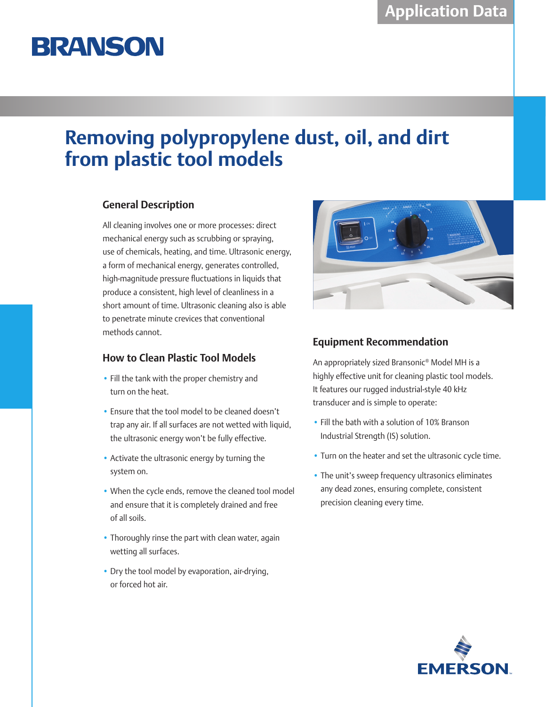# **BRANSON**

## **Removing polypropylene dust, oil, and dirt from plastic tool models**

### **General Description**

All cleaning involves one or more processes: direct mechanical energy such as scrubbing or spraying, use of chemicals, heating, and time. Ultrasonic energy, a form of mechanical energy, generates controlled, high-magnitude pressure fluctuations in liquids that produce a consistent, high level of cleanliness in a short amount of time. Ultrasonic cleaning also is able to penetrate minute crevices that conventional methods cannot.

### **How to Clean Plastic Tool Models**

- Fill the tank with the proper chemistry and turn on the heat.
- Ensure that the tool model to be cleaned doesn't trap any air. If all surfaces are not wetted with liquid, the ultrasonic energy won't be fully effective.
- Activate the ultrasonic energy by turning the system on.
- When the cycle ends, remove the cleaned tool model and ensure that it is completely drained and free of all soils.
- Thoroughly rinse the part with clean water, again wetting all surfaces.
- Dry the tool model by evaporation, air-drying, or forced hot air.



### **Equipment Recommendation**

An appropriately sized Bransonic® Model MH is a highly effective unit for cleaning plastic tool models. It features our rugged industrial-style 40 kHz transducer and is simple to operate:

- Fill the bath with a solution of 10% Branson Industrial Strength (IS) solution.
- Turn on the heater and set the ultrasonic cycle time.
- The unit's sweep frequency ultrasonics eliminates any dead zones, ensuring complete, consistent precision cleaning every time.